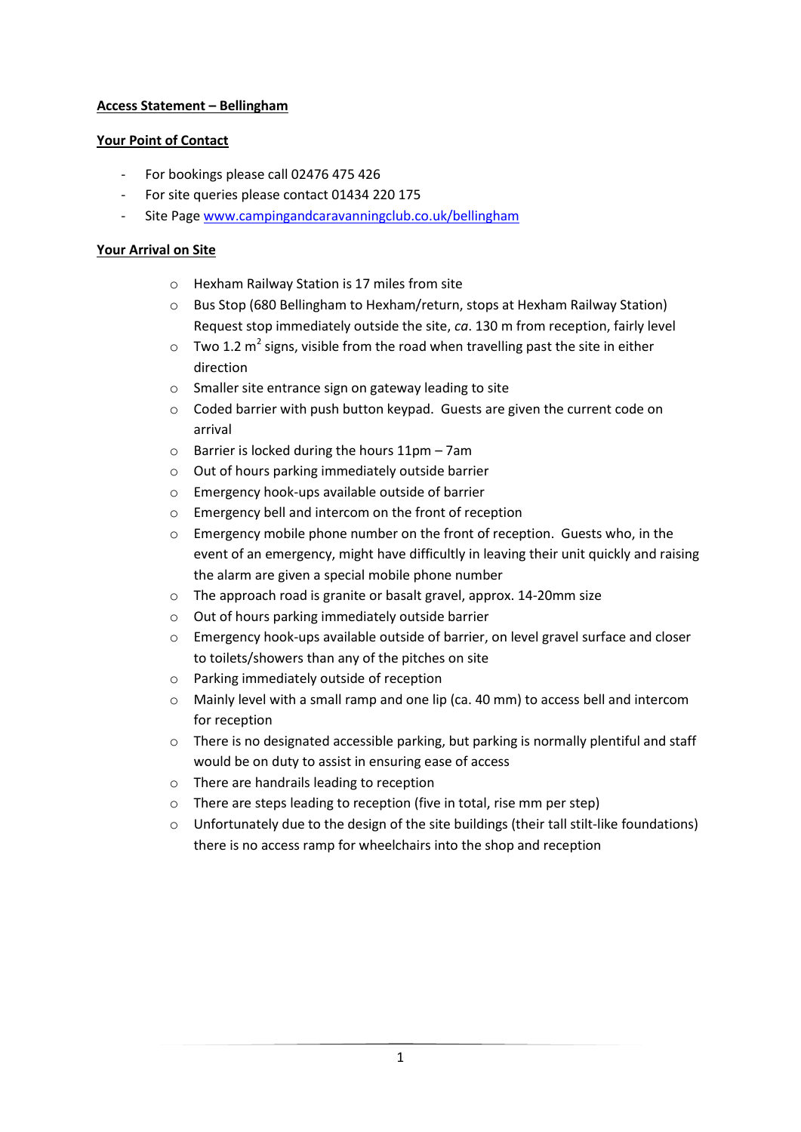# **Access Statement – Bellingham**

# **Your Point of Contact**

- For bookings please call 02476 475 426
- For site queries please contact 01434 220 175
- Site Page [www.campingandcaravanningclub.co.uk/bellingham](http://www.campingandcaravanningclub.co.uk/bellingham)

# **Your Arrival on Site**

- o Hexham Railway Station is 17 miles from site
- o Bus Stop (680 Bellingham to Hexham/return, stops at Hexham Railway Station) Request stop immediately outside the site, *ca*. 130 m from reception, fairly level
- $\circ$  Two 1.2 m<sup>2</sup> signs, visible from the road when travelling past the site in either direction
- o Smaller site entrance sign on gateway leading to site
- o Coded barrier with push button keypad. Guests are given the current code on arrival
- $\circ$  Barrier is locked during the hours 11pm 7am
- o Out of hours parking immediately outside barrier
- o Emergency hook-ups available outside of barrier
- o Emergency bell and intercom on the front of reception
- o Emergency mobile phone number on the front of reception. Guests who, in the event of an emergency, might have difficultly in leaving their unit quickly and raising the alarm are given a special mobile phone number
- o The approach road is granite or basalt gravel, approx. 14-20mm size
- o Out of hours parking immediately outside barrier
- o Emergency hook-ups available outside of barrier, on level gravel surface and closer to toilets/showers than any of the pitches on site
- o Parking immediately outside of reception
- $\circ$  Mainly level with a small ramp and one lip (ca. 40 mm) to access bell and intercom for reception
- o There is no designated accessible parking, but parking is normally plentiful and staff would be on duty to assist in ensuring ease of access
- o There are handrails leading to reception
- o There are steps leading to reception (five in total, rise mm per step)
- $\circ$  Unfortunately due to the design of the site buildings (their tall stilt-like foundations) there is no access ramp for wheelchairs into the shop and reception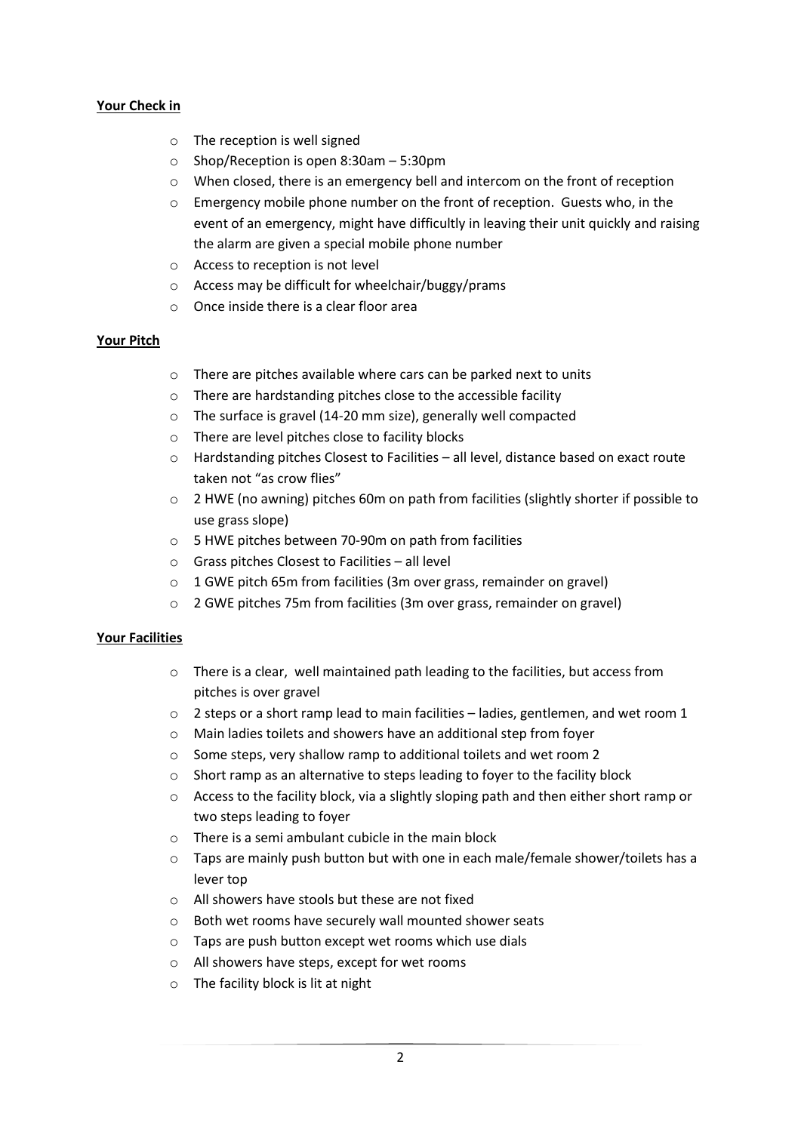# **Your Check in**

- o The reception is well signed
- o Shop/Reception is open 8:30am 5:30pm
- o When closed, there is an emergency bell and intercom on the front of reception
- o Emergency mobile phone number on the front of reception. Guests who, in the event of an emergency, might have difficultly in leaving their unit quickly and raising the alarm are given a special mobile phone number
- o Access to reception is not level
- o Access may be difficult for wheelchair/buggy/prams
- o Once inside there is a clear floor area

#### **Your Pitch**

- o There are pitches available where cars can be parked next to units
- o There are hardstanding pitches close to the accessible facility
- o The surface is gravel (14-20 mm size), generally well compacted
- o There are level pitches close to facility blocks
- o Hardstanding pitches Closest to Facilities all level, distance based on exact route taken not "as crow flies"
- o 2 HWE (no awning) pitches 60m on path from facilities (slightly shorter if possible to use grass slope)
- o 5 HWE pitches between 70-90m on path from facilities
- o Grass pitches Closest to Facilities all level
- o 1 GWE pitch 65m from facilities (3m over grass, remainder on gravel)
- o 2 GWE pitches 75m from facilities (3m over grass, remainder on gravel)

#### **Your Facilities**

- o There is a clear, well maintained path leading to the facilities, but access from pitches is over gravel
- $\circ$  2 steps or a short ramp lead to main facilities ladies, gentlemen, and wet room 1
- o Main ladies toilets and showers have an additional step from foyer
- o Some steps, very shallow ramp to additional toilets and wet room 2
- o Short ramp as an alternative to steps leading to foyer to the facility block
- o Access to the facility block, via a slightly sloping path and then either short ramp or two steps leading to foyer
- $\circ$  There is a semi ambulant cubicle in the main block
- $\circ$  Taps are mainly push button but with one in each male/female shower/toilets has a lever top
- o All showers have stools but these are not fixed
- o Both wet rooms have securely wall mounted shower seats
- o Taps are push button except wet rooms which use dials
- o All showers have steps, except for wet rooms
- o The facility block is lit at night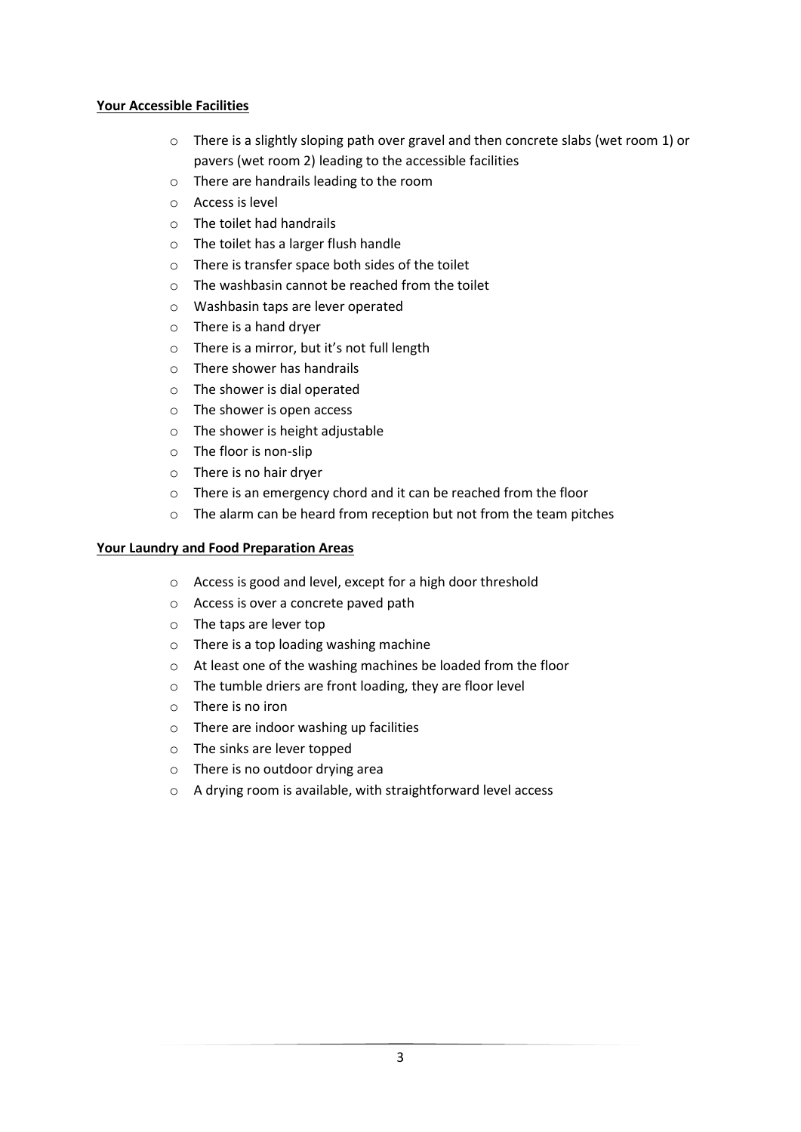## **Your Accessible Facilities**

- o There is a slightly sloping path over gravel and then concrete slabs (wet room 1) or pavers (wet room 2) leading to the accessible facilities
- o There are handrails leading to the room
- o Access is level
- o The toilet had handrails
- o The toilet has a larger flush handle
- o There is transfer space both sides of the toilet
- o The washbasin cannot be reached from the toilet
- o Washbasin taps are lever operated
- o There is a hand dryer
- o There is a mirror, but it's not full length
- o There shower has handrails
- o The shower is dial operated
- o The shower is open access
- o The shower is height adjustable
- o The floor is non-slip
- o There is no hair dryer
- o There is an emergency chord and it can be reached from the floor
- o The alarm can be heard from reception but not from the team pitches

# **Your Laundry and Food Preparation Areas**

- o Access is good and level, except for a high door threshold
- o Access is over a concrete paved path
- o The taps are lever top
- o There is a top loading washing machine
- o At least one of the washing machines be loaded from the floor
- o The tumble driers are front loading, they are floor level
- o There is no iron
- o There are indoor washing up facilities
- o The sinks are lever topped
- o There is no outdoor drying area
- o A drying room is available, with straightforward level access